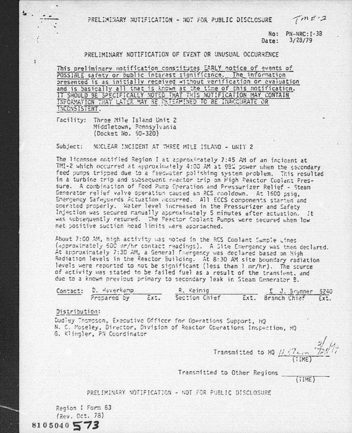PRELIMINARY NOTIFICATION - NOT FOR PUBLIC DISCLOSURE

 $7m122$ 

 $No: PN-NRC: I-33$  $Darea: 3/23/79$ 

## PRFI IMINARY NOTIFICATION OF EVENT OR UNUSUAL OCCURRENCE

This preliminary notification constitutes EARLY notice of events of POSSIBLE safety or public interest significance. The information presented is as initially received without verification or evaluation and is basically all that is known at the time of this notification. IT SHOULD BE SPECIFICALLY NOTED THAT THIS NOTIFICATION MAY CONTAIN INFORMATION THAT LATER MAY BE DETERMINED TO BE INACCURATE OR INCONSISTENT.

Facility: Three Mile Island Unit 2 Middletown, Pannsylvania (Docket No. 50-320)

Subject: NUCLEAR INCIDENT AT THREE MILE ISLAND - UNIT 2

The licensee notified Region I at approximately 7:45 AM of an incident at TMI-2 which occurred at approximately 4:00 AM at 98% power when the secondary. feed pumps tripped due to a feedwater polishing system problem. This resulted in a turbine trip and subsequent reactor trip on Pigh Peactor Coolant Pressure. A combination of Feed Pump Operation and Pressurizer Relief - Steam Generator relief valve operation caused an RCS cooldown. At 1600 psig. Emergency Safeguards Actuation necurred. All ECCS components started and onerated properly. Water level increased in the Pressurizer and Safety Injection was secured manually approximately 5 minutes after actuation. It was subsequently resumed. The Peactor Coolant Pumps were secured when low net positive suction head limits were approached.

About 7:00 AM, high activity was noted in the RCS Coolant Sample Lines (approximately 500 mr/hr contact readings). A Site Emergency was then declared. At approximately 7:30 AM, a General Energency was declared based on High Radiation levels in the Reactor Building. At 8:30 AM site boundary radiation levels were reported to not be significant (less than 1 mr/hr). The scurce of activity was stated to be failed fuel as a result of the transient, and due to a known previous primary to secondary leak in Steam Generator B.

| Contact: D. Haverkamp |  | R. Keimig                      |  | $E$ J. Srunner 5240    |  |
|-----------------------|--|--------------------------------|--|------------------------|--|
|                       |  | Prepared by Ext. Section Chief |  | Ext. Branch Chief Ext. |  |

## Distribution:

 $\mathbf{i}$ 

Dudley Thompson, Executive Officer for Operations Support, HQ N. C. Moseley, Director, Division of Reactor Operations Inspection, HO G. Klingler, PN Coordinator

Transmitted to HQ  $\frac{11.672 \cdot 10^{-37}}{(11ME)}$ 

Transmitted to Other Regions \_\_\_

(TIME)

PRELIMINARY NOTIFICATION - NOT FOR PUBLIC DISCLOSURE

Region I Form 63 (Rev. Oct. 78)  $8105040573$